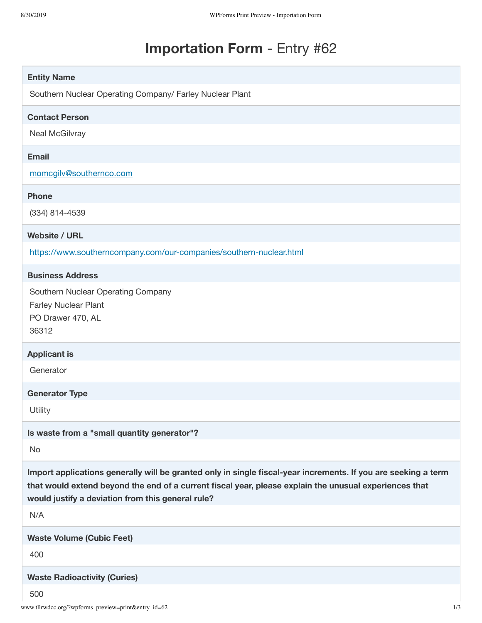## **Importation Form** - Entry #62

| <b>Entity Name</b>                                                                                                                                                                                                                                                            |     |
|-------------------------------------------------------------------------------------------------------------------------------------------------------------------------------------------------------------------------------------------------------------------------------|-----|
| Southern Nuclear Operating Company/ Farley Nuclear Plant                                                                                                                                                                                                                      |     |
| <b>Contact Person</b>                                                                                                                                                                                                                                                         |     |
| Neal McGilvray                                                                                                                                                                                                                                                                |     |
| <b>Email</b>                                                                                                                                                                                                                                                                  |     |
| momcgilv@southernco.com                                                                                                                                                                                                                                                       |     |
| <b>Phone</b>                                                                                                                                                                                                                                                                  |     |
| (334) 814-4539                                                                                                                                                                                                                                                                |     |
| <b>Website / URL</b>                                                                                                                                                                                                                                                          |     |
| https://www.southerncompany.com/our-companies/southern-nuclear.html                                                                                                                                                                                                           |     |
| <b>Business Address</b>                                                                                                                                                                                                                                                       |     |
| Southern Nuclear Operating Company<br>Farley Nuclear Plant<br>PO Drawer 470, AL<br>36312                                                                                                                                                                                      |     |
| <b>Applicant is</b>                                                                                                                                                                                                                                                           |     |
| Generator                                                                                                                                                                                                                                                                     |     |
| <b>Generator Type</b>                                                                                                                                                                                                                                                         |     |
| Utility                                                                                                                                                                                                                                                                       |     |
| Is waste from a "small quantity generator"?                                                                                                                                                                                                                                   |     |
| No                                                                                                                                                                                                                                                                            |     |
| Import applications generally will be granted only in single fiscal-year increments. If you are seeking a term<br>that would extend beyond the end of a current fiscal year, please explain the unusual experiences that<br>would justify a deviation from this general rule? |     |
| N/A                                                                                                                                                                                                                                                                           |     |
| <b>Waste Volume (Cubic Feet)</b>                                                                                                                                                                                                                                              |     |
| 400                                                                                                                                                                                                                                                                           |     |
| <b>Waste Radioactivity (Curies)</b>                                                                                                                                                                                                                                           |     |
| 500<br>www.tllrwdcc.org/?wpforms_preview=print&entry_id=62                                                                                                                                                                                                                    | 1/3 |
|                                                                                                                                                                                                                                                                               |     |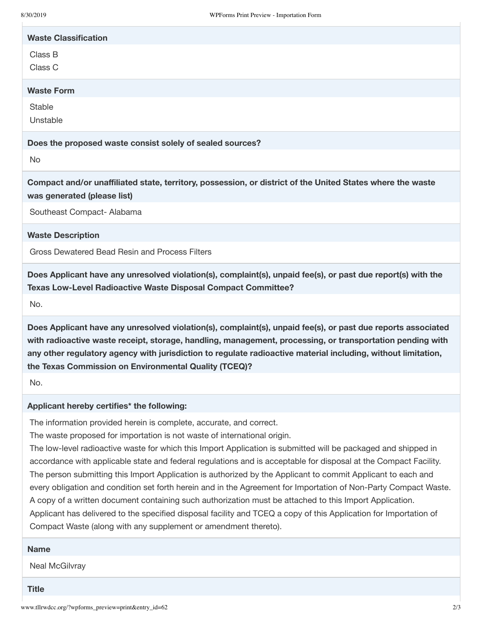| <b>Waste Classification</b> |
|-----------------------------|
| Class B<br>Class C          |
| <b>Waste Form</b>           |
| Stable<br>Unstable          |
|                             |

**Does the proposed waste consist solely of sealed sources?**

No

**Compact and/or unaffiliated state, territory, possession, or district of the United States where the waste was generated (please list)**

Southeast Compact- Alabama

**Waste Description**

Gross Dewatered Bead Resin and Process Filters

**Does Applicant have any unresolved violation(s), complaint(s), unpaid fee(s), or past due report(s) with the Texas Low-Level Radioactive Waste Disposal Compact Committee?**

No.

**Does Applicant have any unresolved violation(s), complaint(s), unpaid fee(s), or past due reports associated with radioactive waste receipt, storage, handling, management, processing, or transportation pending with any other regulatory agency with jurisdiction to regulate radioactive material including, without limitation, the Texas Commission on Environmental Quality (TCEQ)?**

No.

## **Applicant hereby certifies\* the following:**

The information provided herein is complete, accurate, and correct.

The waste proposed for importation is not waste of international origin.

The low-level radioactive waste for which this Import Application is submitted will be packaged and shipped in accordance with applicable state and federal regulations and is acceptable for disposal at the Compact Facility. The person submitting this Import Application is authorized by the Applicant to commit Applicant to each and every obligation and condition set forth herein and in the Agreement for Importation of Non-Party Compact Waste. A copy of a written document containing such authorization must be attached to this Import Application. Applicant has delivered to the specified disposal facility and TCEQ a copy of this Application for Importation of Compact Waste (along with any supplement or amendment thereto).

## **Name**

Neal McGilvray